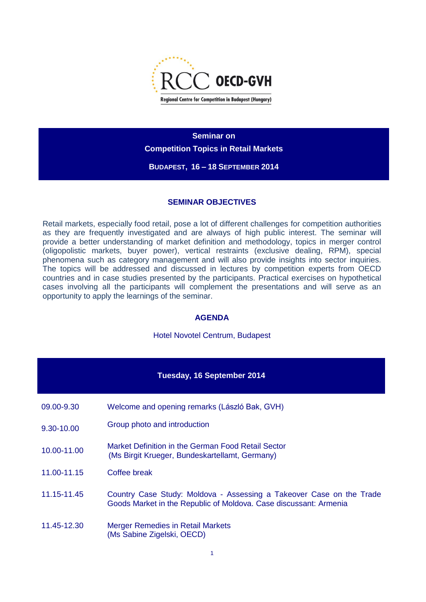

**Seminar on Competition Topics in Retail Markets BUDAPEST, 16 – 18 SEPTEMBER 2014**

## **SEMINAR OBJECTIVES**

Retail markets, especially food retail, pose a lot of different challenges for competition authorities as they are frequently investigated and are always of high public interest. The seminar will provide a better understanding of market definition and methodology, topics in merger control (oligopolistic markets, buyer power), vertical restraints (exclusive dealing, RPM), special phenomena such as category management and will also provide insights into sector inquiries. The topics will be addressed and discussed in lectures by competition experts from OECD countries and in case studies presented by the participants. Practical exercises on hypothetical cases involving all the participants will complement the presentations and will serve as an opportunity to apply the learnings of the seminar.

## **AGENDA**

Hotel Novotel Centrum, Budapest

| <b>Tuesday, 16 September 2014</b> |                                                                                                                                           |  |
|-----------------------------------|-------------------------------------------------------------------------------------------------------------------------------------------|--|
| 09.00-9.30                        | Welcome and opening remarks (László Bak, GVH)                                                                                             |  |
| 9.30-10.00                        | Group photo and introduction                                                                                                              |  |
| 10.00-11.00                       | Market Definition in the German Food Retail Sector<br>(Ms Birgit Krueger, Bundeskartellamt, Germany)                                      |  |
| 11.00-11.15                       | Coffee break                                                                                                                              |  |
| 11.15-11.45                       | Country Case Study: Moldova - Assessing a Takeover Case on the Trade<br>Goods Market in the Republic of Moldova. Case discussant: Armenia |  |
| 11.45-12.30                       | Merger Remedies in Retail Markets<br>(Ms Sabine Zigelski, OECD)                                                                           |  |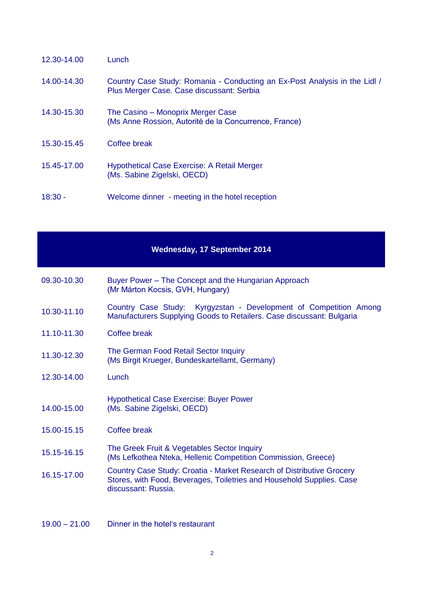| 12.30-14.00 | Lunch                                                                                                                   |
|-------------|-------------------------------------------------------------------------------------------------------------------------|
| 14.00-14.30 | Country Case Study: Romania - Conducting an Ex-Post Analysis in the Lidl /<br>Plus Merger Case. Case discussant: Serbia |
| 14.30-15.30 | The Casino – Monoprix Merger Case<br>(Ms Anne Rossion, Autorité de la Concurrence, France)                              |
| 15.30-15.45 | Coffee break                                                                                                            |
| 15.45-17.00 | Hypothetical Case Exercise: A Retail Merger<br>(Ms. Sabine Zigelski, OECD)                                              |
| $18:30 -$   | Welcome dinner - meeting in the hotel reception                                                                         |

## **Wednesday, 17 September 2014**

- 09.30-10.30 Buyer Power The Concept and the Hungarian Approach (Mr Márton Kocsis, GVH, Hungary)
- 10.30-11.10 Country Case Study: Kyrgyzstan Development of Competition Among Manufacturers Supplying Goods to Retailers. Case discussant: Bulgaria
- 11.10-11.30 Coffee break
- 11.30-12.30 The German Food Retail Sector Inquiry (Ms Birgit Krueger, Bundeskartellamt, Germany)
- 12.30-14.00 Lunch
- 14.00-15.00 Hypothetical Case Exercise: Buyer Power (Ms. Sabine Zigelski, OECD)
- 15.00-15.15 Coffee break
- 15.15-16.15 The Greek Fruit & Vegetables Sector Inquiry (Ms Lefkothea Nteka, Hellenic Competition Commission, Greece)
- 16.15-17.00 Country Case Study: Croatia Market Research of Distributive Grocery Stores, with Food, Beverages, Toiletries and Household Supplies. Case discussant: Russia.
- 19.00 21.00 Dinner in the hotel's restaurant